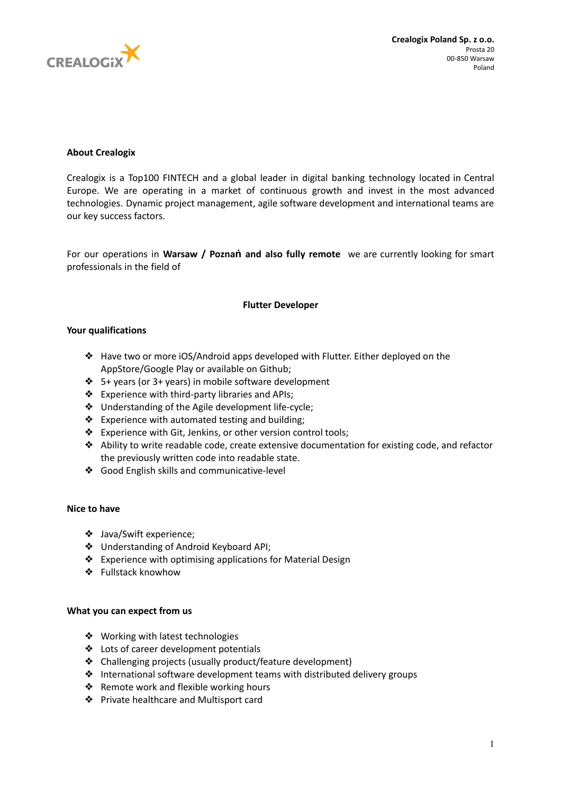

# **About Crealogix**

Crealogix is a Top100 FINTECH and a global leader in digital banking technology located in Central Europe. We are operating in a market of continuous growth and invest in the most advanced technologies. Dynamic project management, agile software development and international teams are our key success factors.

For our operations in **Warsaw / Poznań and also fully remote** we are currently looking for smart professionals in the field of

## **Flutter Developer**

### **Your qualifications**

- ❖ Have two or more iOS/Android apps developed with Flutter. Either deployed on the AppStore/Google Play or available on Github;
- ❖ 5+ years (or 3+ years) in mobile software development
- ❖ Experience with third-party libraries and APIs;
- ❖ Understanding of the Agile development life-cycle;
- ❖ Experience with automated testing and building;
- ❖ Experience with Git, Jenkins, or other version control tools;
- ❖ Ability to write readable code, create extensive documentation for existing code, and refactor the previously written code into readable state.
- ❖ Good English skills and communicative-level

## **Nice to have**

- ❖ Java/Swift experience;
- ❖ Understanding of Android Keyboard API;
- ❖ Experience with optimising applications for Material Design
- ❖ Fullstack knowhow

## **What you can expect from us**

- ❖ Working with latest technologies
- ❖ Lots of career development potentials
- ❖ Challenging projects (usually product/feature development)
- ❖ International software development teams with distributed delivery groups
- ❖ Remote work and flexible working hours
- ❖ Private healthcare and Multisport card